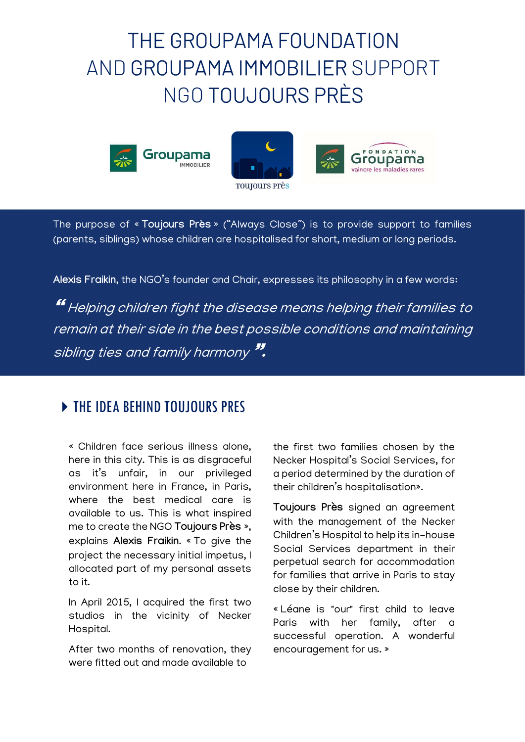# THE GROUPAMA FOUNDATION AND GROUPAMA IMMOBILIER SUPPORT NGO TOUJOURS PRÈS







The purpose of « Toujours Près » ("Always Close") is to provide support to families (parents, siblings) whose children are hospitalised for short, medium or long periods.

Alexis Fraikin, the NGO's founder and Chair, expresses its philosophy in a few words:

**"** Helping children fight the disease means helping their families to remain at their side in the best possible conditions and maintaining sibling ties and family harmony".

## **FIRE IDEA BEHIND TOUJOURS PRES**

« Children face serious illness alone, here in this city. This is as disgraceful as it's unfair, in our privileged environment here in France, in Paris, where the best medical care is available to us. This is what inspired me to create the NGO Toujours Près », explains Alexis Fraikin. « To give the project the necessary initial impetus, I allocated part of my personal assets to it.

In April 2015, I acquired the first two studios in the vicinity of Necker Hospital.

After two months of renovation, they were fitted out and made available to

the first two families chosen by the Necker Hospital's Social Services, for a period determined by the duration of their children's hospitalisation».

Toujours Près signed an agreement with the management of the Necker Children's Hospital to help its in-house Social Services department in their perpetual search for accommodation for families that arrive in Paris to stay close by their children.

« Léane is "our" first child to leave Paris with her family, after a successful operation. A wonderful encouragement for us. »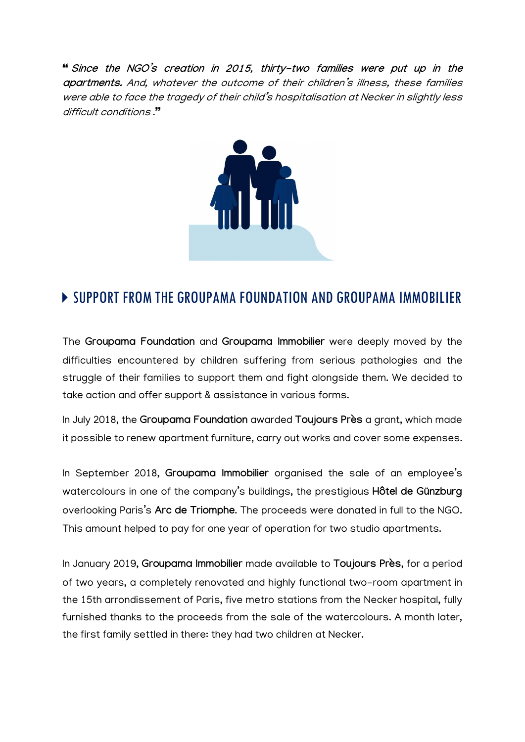Since the NGO's creation in 2015, thirty-two families were put up in the apartments. And, whatever the outcome of their children's illness, these families were able to face the tragedy of their child's hospitalisation at Necker in slightly less difficult conditions .



### **EXTENDING THE GROUPAMA FOUNDATION AND GROUPAMA IMMOBILIER**

The Groupama Foundation and Groupama Immobilier were deeply moved by the difficulties encountered by children suffering from serious pathologies and the struggle of their families to support them and fight alongside them. We decided to take action and offer support & assistance in various forms.

In July 2018, the Groupama Foundation awarded Toujours Près a grant, which made it possible to renew apartment furniture, carry out works and cover some expenses.

In September 2018, Groupama Immobilier organised the sale of an employee's watercolours in one of the company's buildings, the prestigious Hôtel de Günzburg overlooking Paris's Arc de Triomphe. The proceeds were donated in full to the NGO. This amount helped to pay for one year of operation for two studio apartments.

In January 2019, Groupama Immobilier made available to Toujours Près, for a period of two years, a completely renovated and highly functional two-room apartment in the 15th arrondissement of Paris, five metro stations from the Necker hospital, fully furnished thanks to the proceeds from the sale of the watercolours. A month later, the first family settled in there: they had two children at Necker.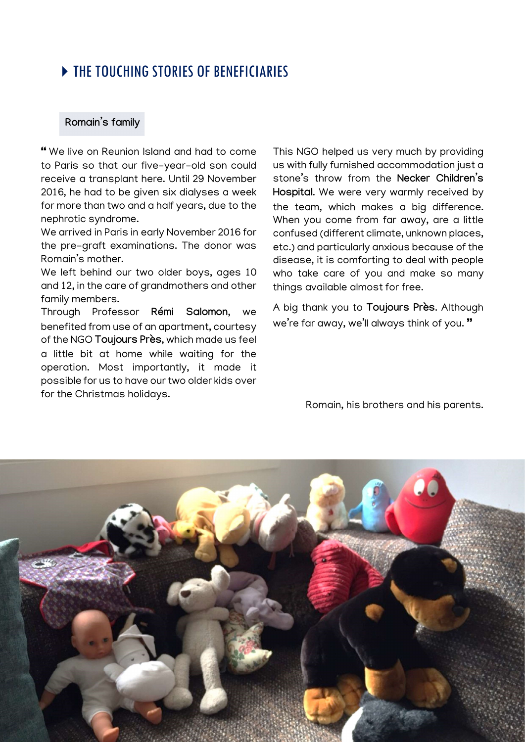### **THE TOUCHING STORIES OF RENEFICIARIES**

#### Romain's family

 We live on Reunion Island and had to come to Paris so that our five-year-old son could receive a transplant here. Until 29 November 2016, he had to be given six dialyses a week for more than two and a half years, due to the nephrotic syndrome.

We arrived in Paris in early November 2016 for the pre-graft examinations. The donor was Romain's mother.

We left behind our two older boys, ages 10 and 12, in the care of grandmothers and other family members.

Through Professor Rémi Salomon, we benefited from use of an apartment, courtesy of the NGO Toujours Près, which made us feel a little bit at home while waiting for the operation. Most importantly, it made it possible for us to have our two older kids over for the Christmas holidays.

This NGO helped us very much by providing us with fully furnished accommodation just a stone's throw from the Necker Children's Hospital. We were very warmly received by the team, which makes a big difference. When you come from far away, are a little confused (different climate, unknown places, etc.) and particularly anxious because of the disease, it is comforting to deal with people who take care of you and make so many things available almost for free.

A big thank you to Toujours Près. Although we're far away, we'll always think of you."

Romain, his brothers and his parents.

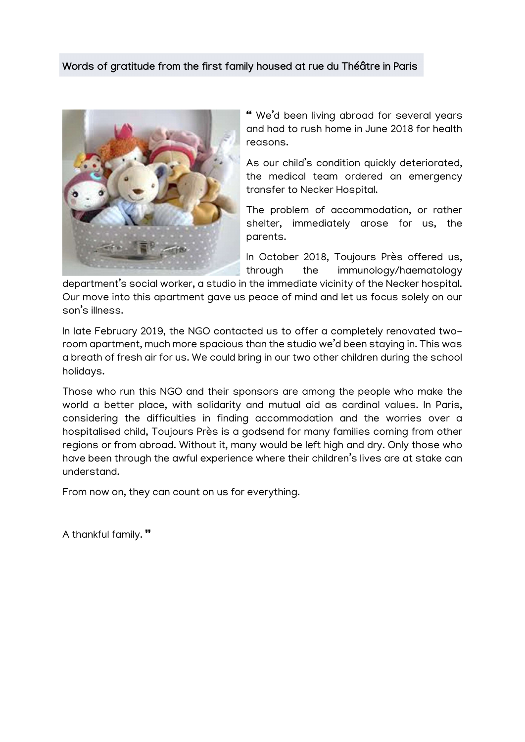#### Words of gratitude from the first family housed at rue du Théâtre in Paris



 We'd been living abroad for several years and had to rush home in June 2018 for health reasons.

As our child's condition quickly deteriorated, the medical team ordered an emergency transfer to Necker Hospital.

The problem of accommodation, or rather shelter, immediately arose for us, the parents.

In October 2018, Toujours Près offered us, through the immunology/haematology

department's social worker, a studio in the immediate vicinity of the Necker hospital. Our move into this apartment gave us peace of mind and let us focus solely on our son's illness.

In late February 2019, the NGO contacted us to offer a completely renovated tworoom apartment, much more spacious than the studio we'd been staying in. This was a breath of fresh air for us. We could bring in our two other children during the school holidays.

Those who run this NGO and their sponsors are among the people who make the world a better place, with solidarity and mutual aid as cardinal values. In Paris, considering the difficulties in finding accommodation and the worries over a hospitalised child, Toujours Près is a godsend for many families coming from other regions or from abroad. Without it, many would be left high and dry. Only those who have been through the awful experience where their children's lives are at stake can understand.

From now on, they can count on us for everything.

A thankful family."